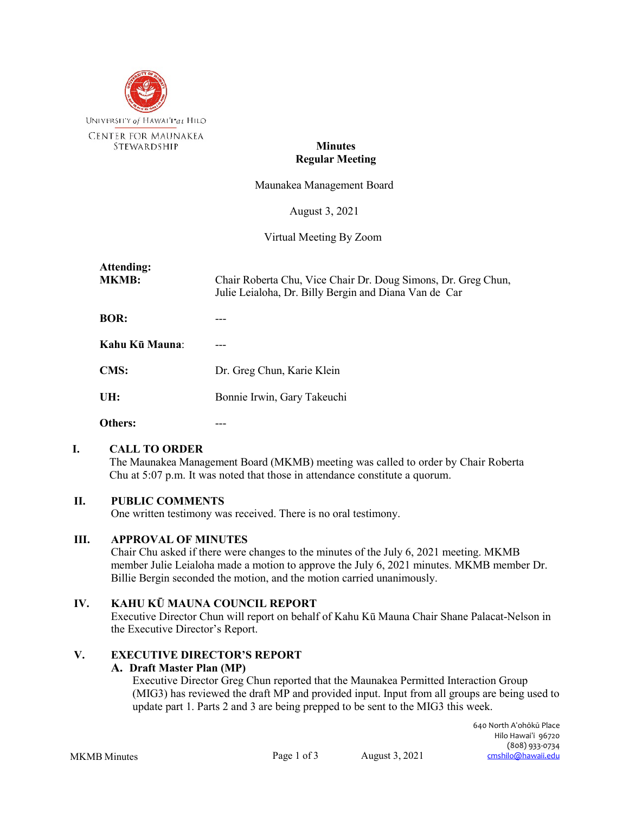

# **Minutes Regular Meeting**

Maunakea Management Board

August 3, 2021

Virtual Meeting By Zoom

| Attending:<br><b>MKMB:</b> | Chair Roberta Chu, Vice Chair Dr. Doug Simons, Dr. Greg Chun,<br>Julie Leialoha, Dr. Billy Bergin and Diana Van de Car |
|----------------------------|------------------------------------------------------------------------------------------------------------------------|
| <b>BOR:</b>                |                                                                                                                        |
| Kahu Kū Mauna:             |                                                                                                                        |
| <b>CMS:</b>                | Dr. Greg Chun, Karie Klein                                                                                             |
| UH:                        | Bonnie Irwin, Gary Takeuchi                                                                                            |
| Others:                    |                                                                                                                        |

#### **I. CALL TO ORDER**

The Maunakea Management Board (MKMB) meeting was called to order by Chair Roberta Chu at 5:07 p.m. It was noted that those in attendance constitute a quorum.

# **II. PUBLIC COMMENTS**

One written testimony was received. There is no oral testimony.

#### **III. APPROVAL OF MINUTES**

Chair Chu asked if there were changes to the minutes of the July 6, 2021 meeting. MKMB member Julie Leialoha made a motion to approve the July 6, 2021 minutes. MKMB member Dr. Billie Bergin seconded the motion, and the motion carried unanimously.

# **IV. KAHU KŪ MAUNA COUNCIL REPORT**

Executive Director Chun will report on behalf of Kahu Kū Mauna Chair Shane Palacat-Nelson in the Executive Director's Report.

# **V. EXECUTIVE DIRECTOR'S REPORT**

#### **A. Draft Master Plan (MP)**

Executive Director Greg Chun reported that the Maunakea Permitted Interaction Group (MIG3) has reviewed the draft MP and provided input. Input from all groups are being used to update part 1. Parts 2 and 3 are being prepped to be sent to the MIG3 this week.

MKMB Minutes Page 1 of 3 August 3, 2021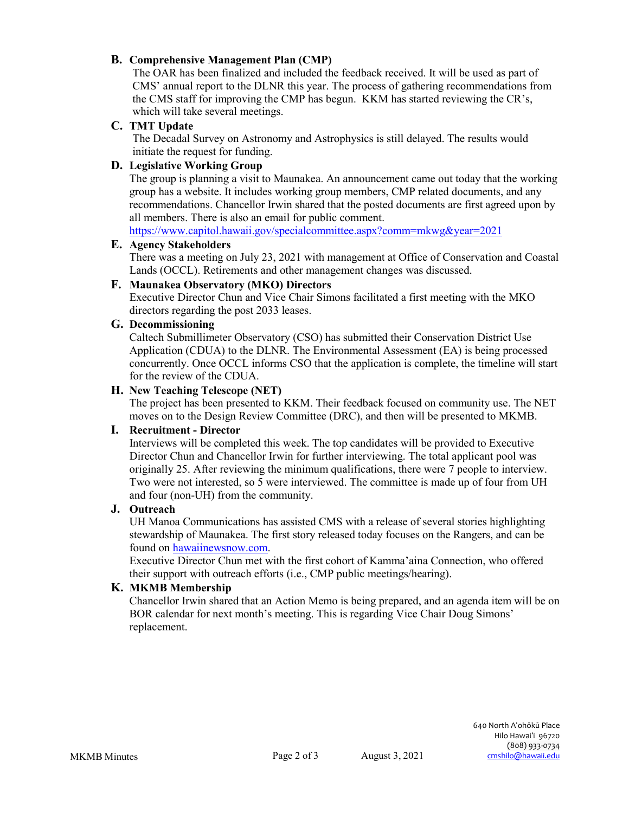# **B. Comprehensive Management Plan (CMP)**

The OAR has been finalized and included the feedback received. It will be used as part of CMS' annual report to the DLNR this year. The process of gathering recommendations from the CMS staff for improving the CMP has begun. KKM has started reviewing the CR's, which will take several meetings.

### **C. TMT Update**

The Decadal Survey on Astronomy and Astrophysics is still delayed. The results would initiate the request for funding.

## **D. Legislative Working Group**

The group is planning a visit to Maunakea. An announcement came out today that the working group has a website. It includes working group members, CMP related documents, and any recommendations. Chancellor Irwin shared that the posted documents are first agreed upon by all members. There is also an email for public comment.

<https://www.capitol.hawaii.gov/specialcommittee.aspx?comm=mkwg&year=2021>

### **E. Agency Stakeholders**

There was a meeting on July 23, 2021 with management at Office of Conservation and Coastal Lands (OCCL). Retirements and other management changes was discussed.

## **F. Maunakea Observatory (MKO) Directors**

Executive Director Chun and Vice Chair Simons facilitated a first meeting with the MKO directors regarding the post 2033 leases.

#### **G. Decommissioning**

Caltech Submillimeter Observatory (CSO) has submitted their Conservation District Use Application (CDUA) to the DLNR. The Environmental Assessment (EA) is being processed concurrently. Once OCCL informs CSO that the application is complete, the timeline will start for the review of the CDUA.

#### **H. New Teaching Telescope (NET)**

The project has been presented to KKM. Their feedback focused on community use. The NET moves on to the Design Review Committee (DRC), and then will be presented to MKMB.

#### **I. Recruitment - Director**

Interviews will be completed this week. The top candidates will be provided to Executive Director Chun and Chancellor Irwin for further interviewing. The total applicant pool was originally 25. After reviewing the minimum qualifications, there were 7 people to interview. Two were not interested, so 5 were interviewed. The committee is made up of four from UH and four (non-UH) from the community.

# **J. Outreach**

UH Manoa Communications has assisted CMS with a release of several stories highlighting stewardship of Maunakea. The first story released today focuses on the Rangers, and can be found on hawaiinewsnow.com.

Executive Director Chun met with the first cohort of Kamma'aina Connection, who offered their support with outreach efforts (i.e., CMP public meetings/hearing).

#### **K. MKMB Membership**

Chancellor Irwin shared that an Action Memo is being prepared, and an agenda item will be on BOR calendar for next month's meeting. This is regarding Vice Chair Doug Simons' replacement.